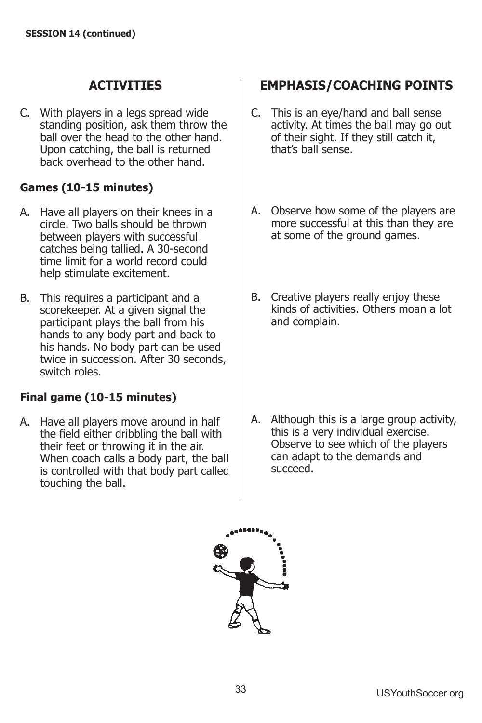C. With players in a legs spread wide standing position, ask them throw the ball over the head to the other hand. Upon catching, the ball is returned back overhead to the other hand.

### **Games (10-15 minutes)**

- A. Have all players on their knees in a circle. Two balls should be thrown between players with successful catches being tallied. A 30-second time limit for a world record could help stimulate excitement.
- B. This requires a participant and a scorekeeper. At a given signal the participant plays the ball from his hands to any body part and back to his hands. No body part can be used twice in succession. After 30 seconds, switch roles.

## **Final game (10-15 minutes)**

A. Have all players move around in half the field either dribbling the ball with their feet or throwing it in the air. When coach calls a body part, the ball is controlled with that body part called touching the ball.

## **EMPHASIS/COACHING POINTS**

- C. This is an eye/hand and ball sense activity. At times the ball may go out of their sight. If they still catch it, that's hall sense.
- A. Observe how some of the players are more successful at this than they are at some of the ground games.
- B. Creative players really enjoy these kinds of activities. Others moan a lot and complain.

A. Although this is a large group activity, this is a very individual exercise. Observe to see which of the players can adapt to the demands and succeed.

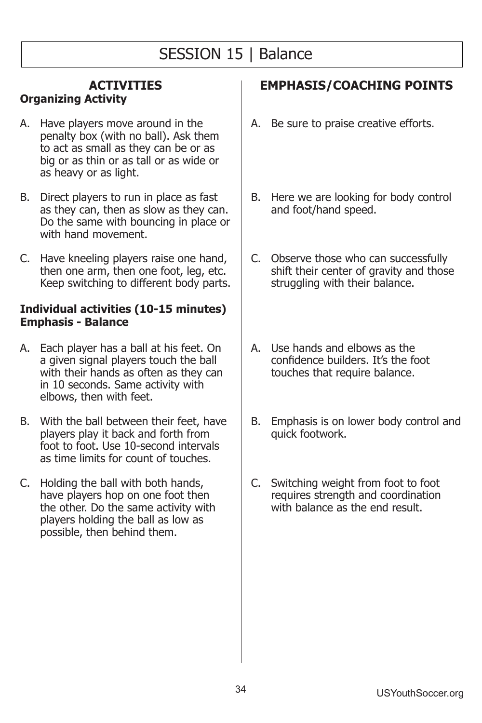# SESSION 15 | Balance

# **ACTIVITIES**

# **Organizing Activity**

- A. Have players move around in the penalty box (with no ball). Ask them to act as small as they can be or as big or as thin or as tall or as wide or as heavy or as light.
- B. Direct players to run in place as fast as they can, then as slow as they can. Do the same with bouncing in place or with hand movement.
- C. Have kneeling players raise one hand, then one arm, then one foot, leg, etc. Keep switching to different body parts.

#### **Individual activities (10-15 minutes) Emphasis - Balance**

- A. Each player has a ball at his feet. On a given signal players touch the ball with their hands as often as they can in 10 seconds. Same activity with elbows, then with feet.
- B. With the ball between their feet, have players play it back and forth from foot to foot. Use 10-second intervals as time limits for count of touches.
- C. Holding the ball with both hands, have players hop on one foot then the other. Do the same activity with players holding the ball as low as possible, then behind them.

- A. Be sure to praise creative efforts.
- B. Here we are looking for body control and foot/hand speed.
- C. Observe those who can successfully shift their center of gravity and those struggling with their balance.
- A. Use hands and elbows as the confidence builders. It's the foot touches that require balance.
- B. Emphasis is on lower body control and quick footwork.
- C. Switching weight from foot to foot requires strength and coordination with balance as the end result.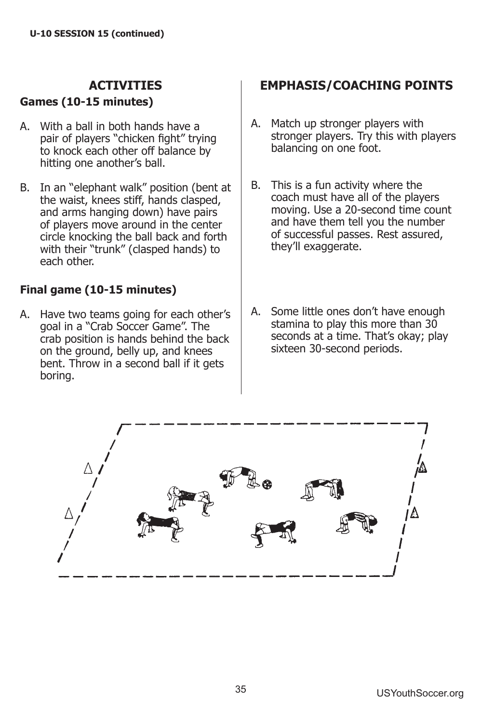### **Games (10-15 minutes)**

- A. With a ball in both hands have a pair of players "chicken fight" trying to knock each other off balance by hitting one another's ball.
- B. In an "elephant walk" position (bent at the waist, knees stiff, hands clasped, and arms hanging down) have pairs of players move around in the center circle knocking the ball back and forth with their "trunk" (clasped hands) to each other.

## **Final game (10-15 minutes)**

A. Have two teams going for each other's goal in a "Crab Soccer Game". The crab position is hands behind the back on the ground, belly up, and knees bent. Throw in a second ball if it gets boring.

- A. Match up stronger players with stronger players. Try this with players balancing on one foot.
- B. This is a fun activity where the coach must have all of the players moving. Use a 20-second time count and have them tell you the number of successful passes. Rest assured, they'll exaggerate.
- A. Some little ones don't have enough stamina to play this more than 30 seconds at a time. That's okay: play sixteen 30-second periods.

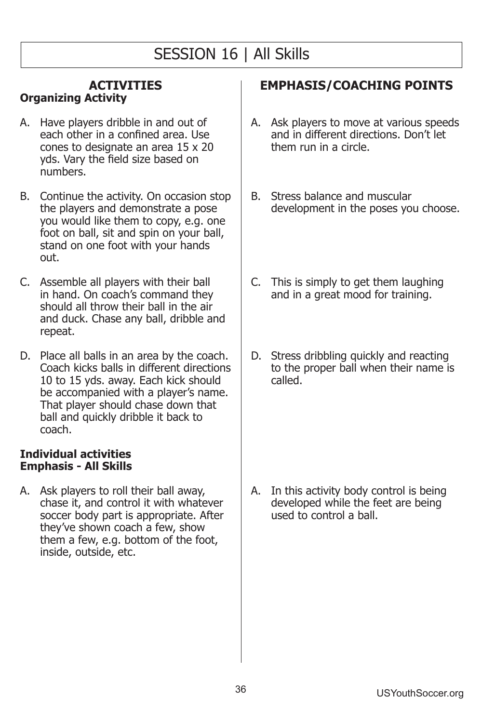# SESSION 16 | All Skills

#### **ACTIVITIES Organizing Activity**

- A. Have players dribble in and out of each other in a confined area. Use cones to designate an area  $15 \times 20$ yds. Vary the field size based on numhers
- B. Continue the activity. On occasion stop the players and demonstrate a pose you would like them to copy, e.g. one foot on ball, sit and spin on your ball, stand on one foot with your hands out.
- C. Assemble all players with their ball in hand. On coach's command they should all throw their ball in the air and duck. Chase any ball, dribble and repeat.
- D. Place all balls in an area by the coach. Coach kicks balls in different directions 10 to 15 yds. away. Each kick should be accompanied with a player's name. That player should chase down that ball and quickly dribble it back to coach.

### **Individual activities Emphasis - All Skills**

A. Ask players to roll their ball away, chase it, and control it with whatever soccer body part is appropriate. After they've shown coach a few, show them a few, e.g. bottom of the foot, inside, outside, etc.

## **EMPHASIS/COACHING POINTS**

- A. Ask players to move at various speeds and in different directions. Don't let them run in a circle.
- B. Stress balance and muscular development in the poses you choose.
- C. This is simply to get them laughing and in a great mood for training.
- D. Stress dribbling quickly and reacting to the proper ball when their name is called.

A. In this activity body control is being developed while the feet are being used to control a ball.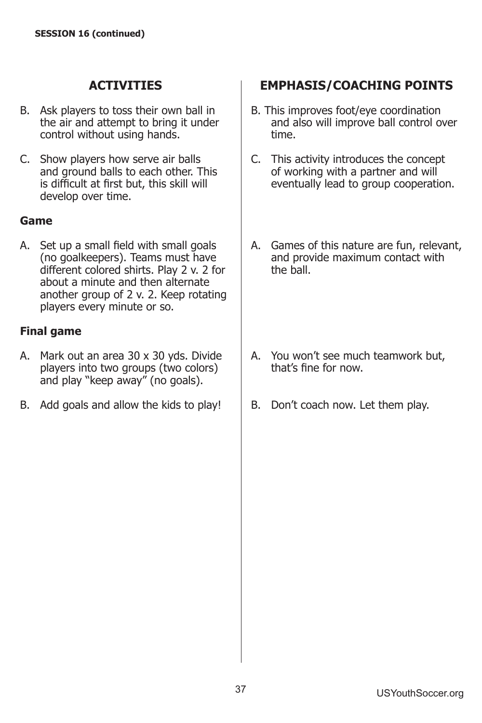- B. Ask players to toss their own ball in the air and attempt to bring it under control without using hands.
- C. Show players how serve air balls and ground balls to each other. This is difficult at first but, this skill will develop over time.

### **Game**

A. Set up a small field with small goals (no goalkeepers). Teams must have different colored shirts. Play 2 v. 2 for about a minute and then alternate another group of 2 v. 2. Keep rotating players every minute or so.

### **Final game**

- A. Mark out an area  $30 \times 30$  yds. Divide players into two groups (two colors) and play "keep away" (no goals).
- B. Add goals and allow the kids to play!

- B. This improves foot/eye coordination and also will improve ball control over time.
- C. This activity introduces the concept of working with a partner and will eventually lead to group cooperation.
- A. Games of this nature are fun, relevant, and provide maximum contact with the ball.
- A. You won't see much teamwork but. that's fine for now.
- B. Don't coach now. Let them play.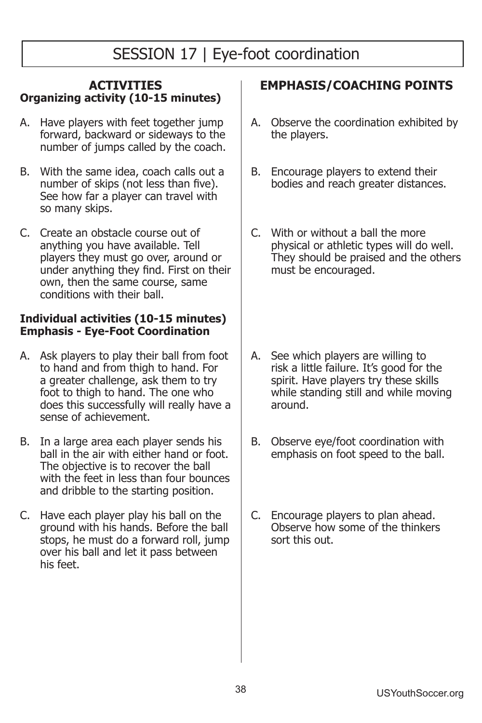# SESSION 17 | Eye-foot coordination

#### **ACTIVITIES Organizing activity (10-15 minutes)**

- A. Have players with feet together jump forward, backward or sideways to the number of jumps called by the coach.
- B. With the same idea, coach calls out a number of skips (not less than five). See how far a player can travel with so many skips.
- C. Create an obstacle course out of anything you have available. Tell players they must go over, around or under anything they find. First on their own, then the same course, same conditions with their ball.

### **Individual activities (10-15 minutes) Emphasis - Eye-Foot Coordination**

- A. Ask players to play their ball from foot to hand and from thigh to hand. For a greater challenge, ask them to try foot to thigh to hand. The one who does this successfully will really have a sense of achievement.
- B. In a large area each player sends his ball in the air with either hand or foot. The objective is to recover the ball with the feet in less than four bounces and dribble to the starting position.
- C. Have each player play his ball on the ground with his hands. Before the ball stops, he must do a forward roll, jump over his ball and let it pass between his feet.

- A. Observe the coordination exhibited by the players.
- B. Encourage players to extend their bodies and reach greater distances.
- C. With or without a ball the more physical or athletic types will do well. They should be praised and the others must be encouraged.
- A. See which players are willing to risk a little failure. It's good for the spirit. Have players try these skills while standing still and while moving around.
- B. Observe eye/foot coordination with emphasis on foot speed to the ball.
- C. Encourage players to plan ahead. Observe how some of the thinkers sort this out.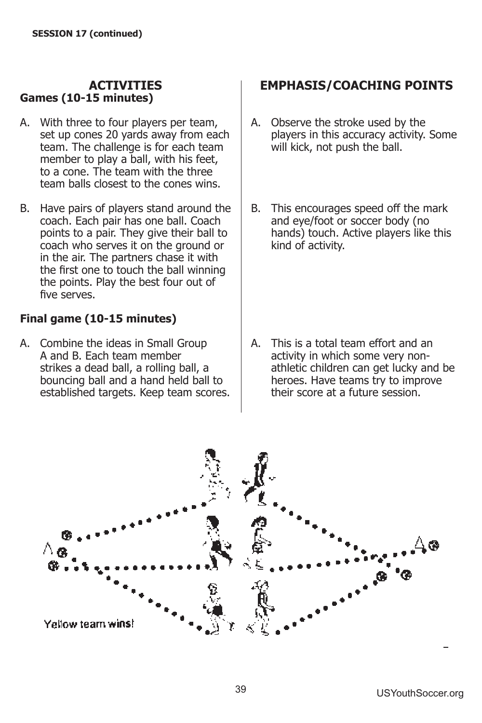### **ACTIVITIES Games (10-15 minutes)**

- A. With three to four players per team, set up cones 20 yards away from each team. The challenge is for each team member to play a ball, with his feet, to a cone. The team with the three team balls closest to the cones wins.
- B. Have pairs of players stand around the coach. Each pair has one ball. Coach points to a pair. They give their ball to coach who serves it on the ground or in the air. The partners chase it with the first one to touch the ball winning the points. Play the best four out of five serves.

### **Final game (10-15 minutes)**

A. Combine the ideas in Small Group A and B. Each team member strikes a dead ball, a rolling ball, a bouncing ball and a hand held ball to established targets. Keep team scores.

# **EMPHASIS/COACHING POINTS**

- A. Observe the stroke used by the players in this accuracy activity. Some will kick, not push the ball.
- B. This encourages speed off the mark and eye/foot or soccer body (no hands) touch. Active players like this kind of activity.

A. This is a total team effort and an activity in which some very nonathletic children can get lucky and be heroes. Have teams try to improve their score at a future session.

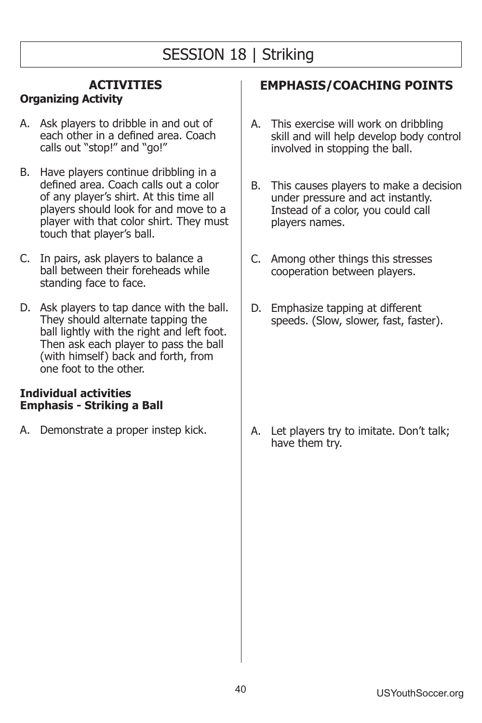# SESSION 18 | Striking

### **ACTIVITIES**

### **Organizing Activity**

- A. Ask players to dribble in and out of each other in a defined area. Coach calls out "stop!" and "go!"
- B. Have players continue dribbling in a defined area. Coach calls out a color of any player's shirt. At this time all players should look for and move to a player with that color shirt. They must touch that player's ball.
- C. In pairs, ask players to balance a ball between their foreheads while standing face to face.
- D. Ask players to tap dance with the ball. They should alternate tapping the ball lightly with the right and left foot. Then ask each player to pass the ball (with himself) back and forth, from one foot to the other.

#### **Individual activities Emphasis - Striking a Ball**

A. Demonstrate a proper instep kick.

# **EMPHASIS/COACHING POINTS**

- A. This exercise will work on dribbling skill and will help develop body control involved in stopping the ball.
- B. This causes players to make a decision under pressure and act instantly. Instead of a color, you could call players names.
- C. Among other things this stresses cooperation between players.
- D. Emphasize tapping at different speeds. (Slow, slower, fast, faster).

A. Let players try to imitate. Don't talk; have them trv.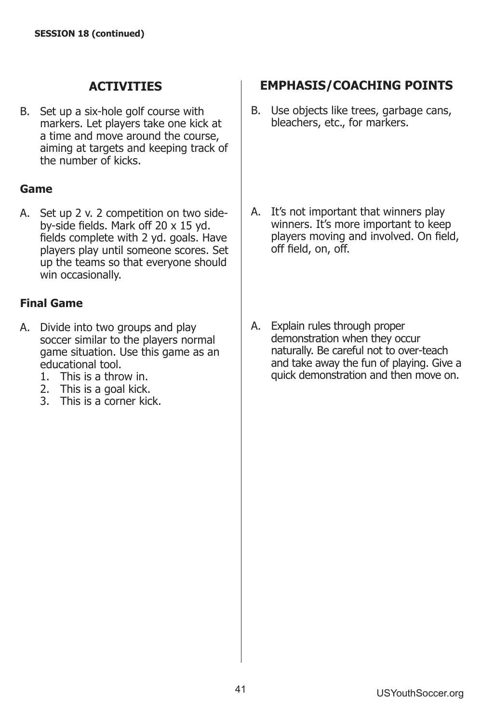B. Set up a six-hole golf course with markers. Let players take one kick at a time and move around the course, aiming at targets and keeping track of the number of kicks.

### **Game**

A. Set up 2 v. 2 competition on two sideby-side fields. Mark off  $20 \times 15$  yd. fields complete with 2 yd. goals. Have players play until someone scores. Set up the teams so that everyone should win occasionally.

### **Final Game**

- A. Divide into two groups and play soccer similar to the players normal game situation. Use this game as an educational tool.
	- 1. This is a throw in.
	- 2. This is a goal kick.
	- 3. This is a corner kick.

# **EMPHASIS/COACHING POINTS**

B. Use objects like trees, garbage cans, bleachers, etc., for markers.

- A. It's not important that winners play winners. It's more important to keep players moving and involved. On field, off field, on, off.
- A. Explain rules through proper demonstration when they occur naturally. Be careful not to over-teach and take away the fun of playing. Give a quick demonstration and then move on.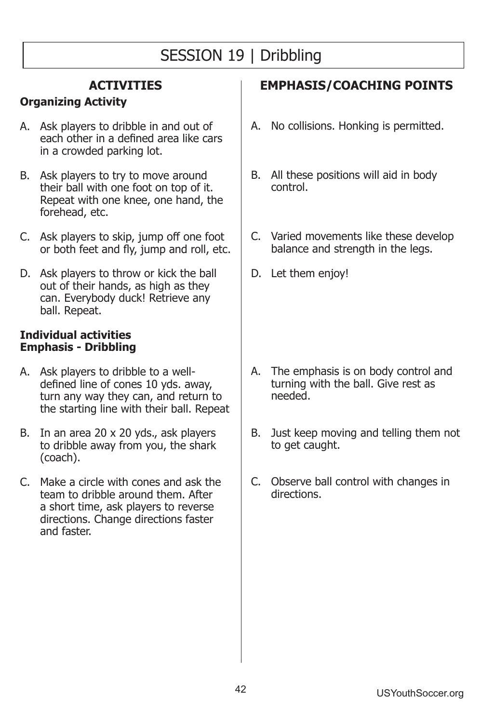# SESSION 19 | Dribbling

## **ACTIVITIES**

## **Organizing Activity**

- A. Ask players to dribble in and out of each other in a defined area like cars in a crowded parking lot.
- B. Ask players to try to move around their ball with one foot on top of it. Repeat with one knee, one hand, the forehead, etc.
- C. Ask players to skip, jump off one foot or both feet and fly, jump and roll, etc.
- D. Ask players to throw or kick the ball out of their hands, as high as they can. Everybody duck! Retrieve any ball. Repeat.

#### **Individual activities Emphasis - Dribbling**

- A. Ask players to dribble to a welldefined line of cones 10 yds. away, turn any way they can, and return to the starting line with their ball. Repeat
- B. In an area 20 x 20 yds., ask players to dribble away from you, the shark (coach).
- C. Make a circle with cones and ask the team to dribble around them. After a short time, ask players to reverse directions. Change directions faster and faster.

- A. No collisions. Honking is permitted.
- B. All these positions will aid in body control.
- C. Varied movements like these develop balance and strength in the legs.
- D. Let them enjoy!

- A. The emphasis is on body control and turning with the ball. Give rest as needed.
- B. Just keep moving and telling them not to get caught.
- C. Observe ball control with changes in directions.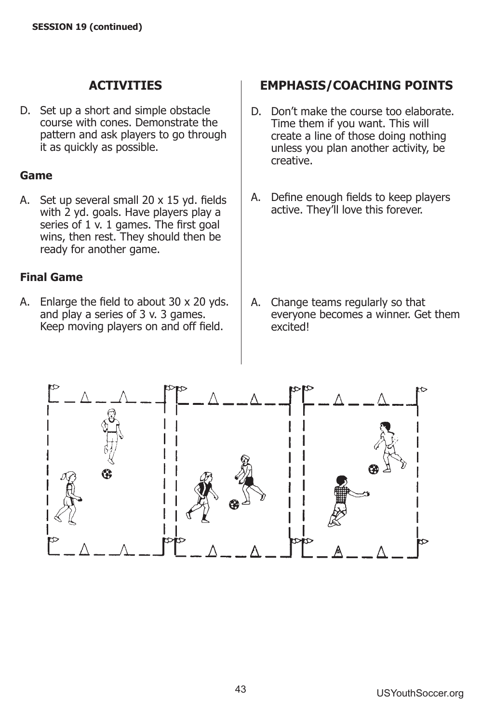D. Set up a short and simple obstacle course with cones. Demonstrate the pattern and ask players to go through it as quickly as possible.

### **Game**

A. Set up several small  $20 \times 15$  yd. fields with 2 yd. goals. Have players play a series of  $1 \times 1$  games. The first goal wins, then rest. They should then be ready for another game.

### **Final Game**

A. Enlarge the field to about  $30 \times 20$  yds. and play a series of  $3 \times 3$  games. Keep moving players on and off field.

## **EMPHASIS/COACHING POINTS**

- D. Don't make the course too elaborate. Time them if you want. This will create a line of those doing nothing unless you plan another activity, be creative.
- A. Define enough fields to keep players active. They'll love this forever.

A. Change teams regularly so that everyone becomes a winner. Get them excited!

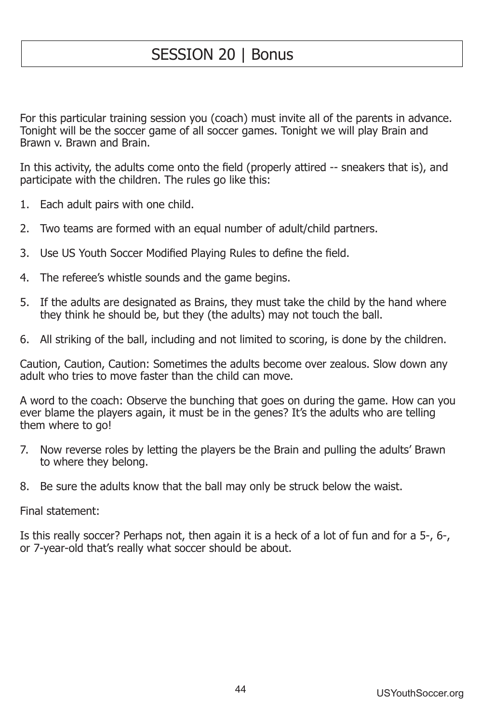# SESSION 20 | Bonus

For this particular training session you (coach) must invite all of the parents in advance. Tonight will be the soccer game of all soccer games. Tonight we will play Brain and Brawn v. Brawn and Brain.

In this activity, the adults come onto the field (properly attired -- sneakers that is), and participate with the children. The rules go like this:

- 1. Each adult pairs with one child.
- Two teams are formed with an equal number of adult/child partners.  $2.$
- 3. Use US Youth Soccer Modified Playing Rules to define the field.
- The referee's whistle sounds and the game begins. 4.
- 5. If the adults are designated as Brains, they must take the child by the hand where they think he should be, but they (the adults) may not touch the ball.
- 6. All striking of the ball, including and not limited to scoring, is done by the children.

Caution, Caution, Caution: Sometimes the adults become over zealous. Slow down any adult who tries to move faster than the child can move.

A word to the coach: Observe the bunching that goes on during the game. How can you ever blame the players again, it must be in the genes? It's the adults who are telling them where to go!

- 7. Now reverse roles by letting the players be the Brain and pulling the adults' Brawn to where they belong.
- 8. Be sure the adults know that the ball may only be struck below the waist.

Final statement:

Is this really soccer? Perhaps not, then again it is a heck of a lot of fun and for a 5-, 6-, or 7-year-old that's really what soccer should be about.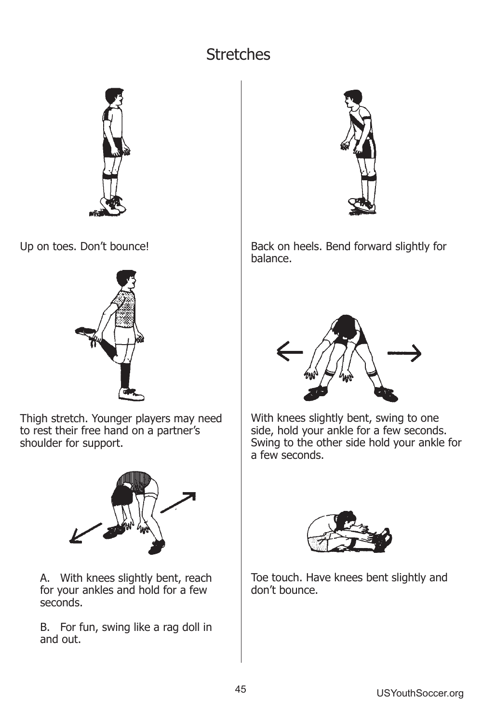# Stretches



Up on toes. Don't bounce!



Thigh stretch. Younger players may need to rest their free hand on a partner's shoulder for support.



A. With knees slightly bent, reach for your ankles and hold for a few seconds.

B. For fun, swing like a rag doll in and out.



Back on heels. Bend forward slightly for balance.



With knees slightly bent, swing to one side, hold your ankle for a few seconds. Swing to the other side hold your ankle for a few seconds.



Toe touch. Have knees bent slightly and don't bounce.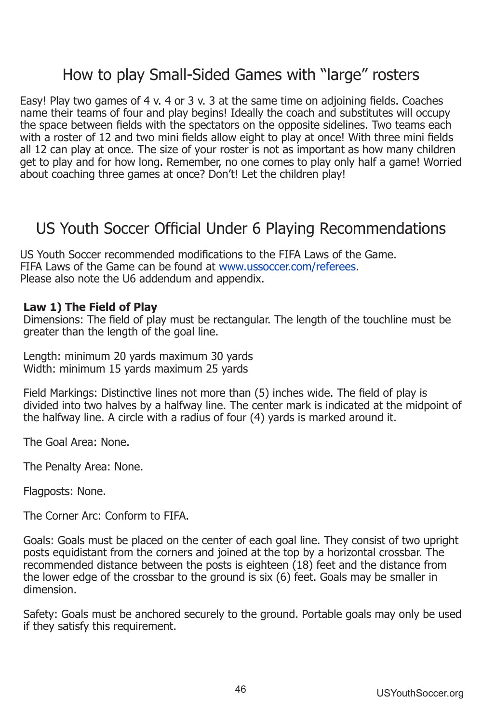# How to play Small-Sided Games with "large" rosters

Easy! Play two games of 4 v. 4 or 3 v. 3 at the same time on adjoining fields. Coaches name their teams of four and play begins! Ideally the coach and substitutes will occupy the space between fields with the spectators on the opposite sidelines. Two teams each with a roster of 12 and two mini fields allow eight to play at once! With three mini fields all 12 can play at once. The size of your roster is not as important as how many children get to play and for how long. Remember, no one comes to play only half a game! Worried about coaching three games at once? Don't! Let the children play!

# US Youth Soccer Official Under 6 Playing Recommendations

US Youth Soccer recommended modifications to the FIFA Laws of the Game. FIFA Laws of the Game can be found at www.ussoccer.com/referees. Please also note the U6 addendum and appendix.

#### Law 1) The Field of Play

Dimensions: The field of play must be rectangular. The length of the touchline must be greater than the length of the goal line.

Length: minimum 20 yards maximum 30 yards Width: minimum 15 yards maximum 25 yards

Field Markings: Distinctive lines not more than (5) inches wide. The field of play is divided into two halves by a halfway line. The center mark is indicated at the midpoint of the halfway line. A circle with a radius of four (4) yards is marked around it.

The Goal Area: None

The Penalty Area: None.

Flagposts: None.

The Corner Arc: Conform to FIFA.

Goals: Goals must be placed on the center of each goal line. They consist of two upright posts equidistant from the corners and joined at the top by a horizontal crossbar. The recommended distance between the posts is eighteen (18) feet and the distance from the lower edge of the crossbar to the ground is six (6) feet. Goals may be smaller in dimension

Safety: Goals must be anchored securely to the ground. Portable goals may only be used if they satisfy this requirement.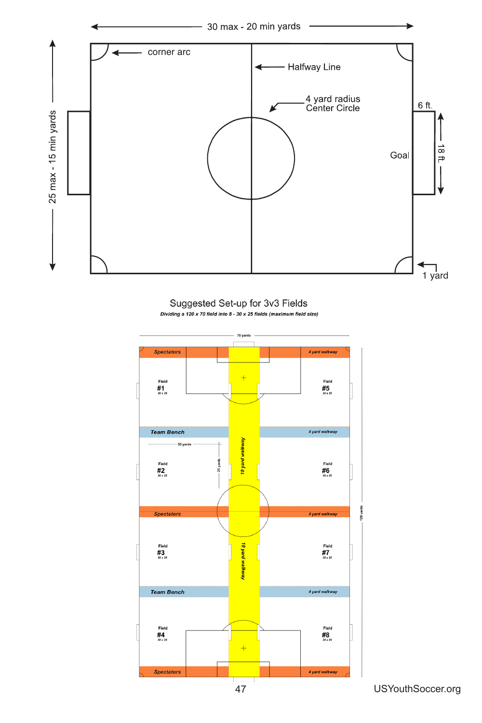

Suggested Set-up for 3v3 Fields Dividing a 120 x 70 field into 8 - 30 x 25 fields (maximum field size)

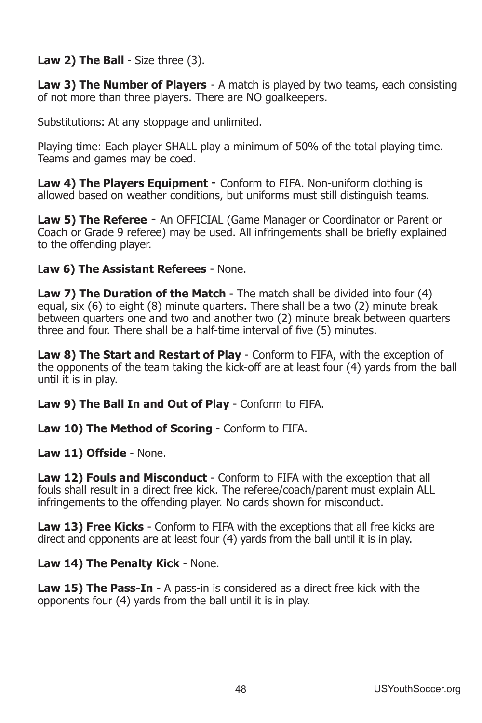### **Law 2) The Ball** - Size three (3).

**Law 3) The Number of Players** - A match is played by two teams, each consisting of not more than three players. There are NO goalkeepers.

Substitutions: At any stoppage and unlimited.

Playing time: Each player SHALL play a minimum of 50% of the total playing time. Teams and games may be coed.

**Law 4) The Players Equipment** - Conform to FIFA. Non-uniform clothing is allowed based on weather conditions, but uniforms must still distinguish teams.

**Law 5) The Referee** - An OFFICIAL (Game Manager or Coordinator or Parent or Coach or Grade 9 referee) may be used. All infringements shall be briefly explained to the offending player.

### **Law 6) The Assistant Referees** - None.

**Law 7) The Duration of the Match** - The match shall be divided into four (4) equal, six  $(6)$  to eight  $(8)$  minute quarters. There shall be a two  $(2)$  minute break between quarters one and two and another two (2) minute break between quarters three and four. There shall be a half-time interval of five (5) minutes.

**Law 8) The Start and Restart of Play** - Conform to FIFA, with the exception of the opponents of the team taking the kick-off are at least four (4) yards from the ball until it is in play.

**Law 9) The Ball In and Out of Play** - Conform to FIFA.

**Law 10) The Method of Scoring** - Conform to FIFA.

Law 11) Offside - None.

**Law 12) Fouls and Misconduct** - Conform to FIFA with the exception that all fouls shall result in a direct free kick. The referee/coach/parent must explain ALL infringements to the offending player. No cards shown for misconduct.

**Law 13) Free Kicks** - Conform to FIFA with the exceptions that all free kicks are direct and opponents are at least four (4) yards from the ball until it is in play.

**Law 14) The Penalty Kick - None.** 

**Law 15) The Pass-In** - A pass-in is considered as a direct free kick with the opponents four (4) yards from the ball until it is in play.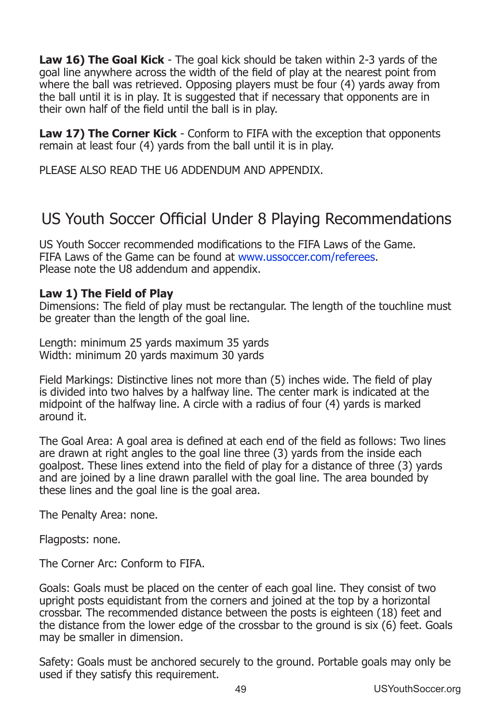**Law 16) The Goal Kick** - The goal kick should be taken within 2-3 yards of the goal line anywhere across the width of the field of play at the nearest point from where the ball was retrieved. Opposing players must be four  $(4)$  yards away from the ball until it is in play. It is suggested that if necessary that opponents are in their own half of the field until the ball is in play.

**Law 17) The Corner Kick** - Conform to FIFA with the exception that opponents remain at least four  $(4)$  yards from the ball until it is in play.

PLEASE ALSO READ THE U6 ADDENDUM AND APPENDIX.

# US Youth Soccer Official Under 8 Playing Recommendations

US Youth Soccer recommended modifications to the FIFA Laws of the Game. FIFA Laws of the Game can be found at www.ussoccer.com/referees. Please note the U8 addendum and appendix.

#### **Law 1) The Field of Play**

Dimensions: The field of play must be rectangular. The length of the touchline must be greater than the length of the goal line.

Length: minimum 25 yards maximum 35 yards Width: minimum 20 yards maximum 30 yards

Field Markings: Distinctive lines not more than (5) inches wide. The field of play is divided into two halves by a halfway line. The center mark is indicated at the midpoint of the halfway line. A circle with a radius of four  $(4)$  vards is marked around it.

The Goal Area: A goal area is defined at each end of the field as follows: Two lines are drawn at right angles to the goal line three (3) yards from the inside each goalpost. These lines extend into the field of play for a distance of three (3) yards and are joined by a line drawn parallel with the goal line. The area bounded by these lines and the goal line is the goal area.

The Penalty Area: none.

Flagposts: none.

The Corner Arc: Conform to FIFA.

Goals: Goals must be placed on the center of each goal line. They consist of two upright posts equidistant from the corners and joined at the top by a horizontal crossbar. The recommended distance between the posts is eighteen (18) feet and the distance from the lower edge of the crossbar to the ground is six (6) feet. Goals may be smaller in dimension.

Safety: Goals must be anchored securely to the ground. Portable goals may only be used if they satisfy this requirement.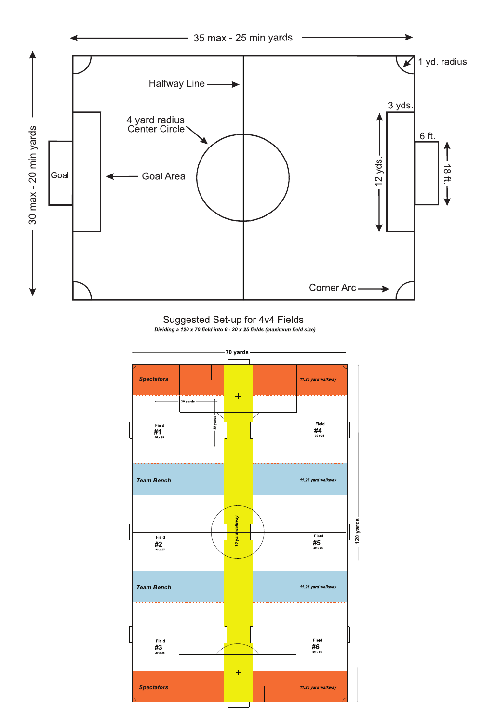

Suggested Set-up for 4v4 Fields Dividing a 120 x 70 field into 6 - 30 x 25 fields (maximum field size)

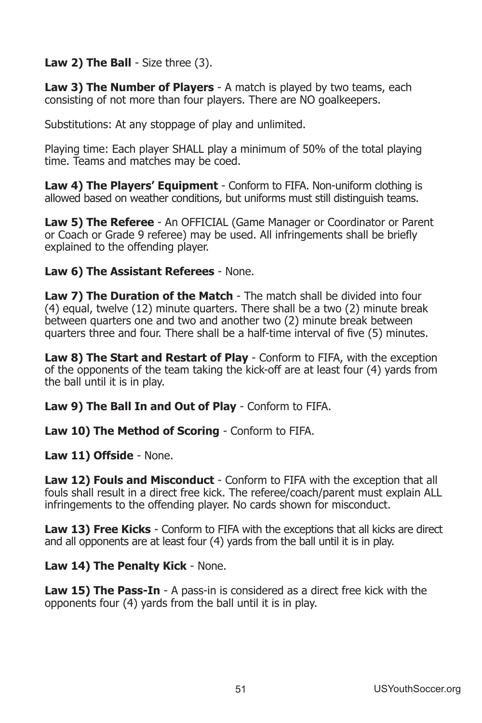**Law 2) The Ball** - Size three (3).

**Law 3) The Number of Players** - A match is played by two teams, each consisting of not more than four players. There are NO goalkeepers.

Substitutions: At any stoppage of play and unlimited.

Playing time: Each player SHALL play a minimum of 50% of the total playing time. Teams and matches may be coed.

**Law 4) The Players' Equipment** - Conform to FIFA. Non-uniform clothing is allowed based on weather conditions, but uniforms must still distinguish teams.

**Law 5) The Referee** - An OFFICIAL (Game Manager or Coordinator or Parent or Coach or Grade 9 referee) may be used. All infringements shall be briefly explained to the offending player.

**Law 6) The Assistant Referees** - None.

**Law 7) The Duration of the Match** - The match shall be divided into four (4) equal, twelve (12) minute quarters. There shall be a two (2) minute break between quarters one and two and another two (2) minute break between quarters three and four. There shall be a half-time interval of five (5) minutes.

**Law 8) The Start and Restart of Play** - Conform to FIFA, with the exception of the opponents of the team taking the kick-off are at least four (4) yards from the ball until it is in play.

Law 9) The Ball In and Out of Play - Conform to FIFA.

**Law 10) The Method of Scoring** - Conform to FIFA.

**Law 11) Offside** - None.

**Law 12) Fouls and Misconduct** - Conform to FIFA with the exception that all fouls shall result in a direct free kick. The referee/coach/parent must explain ALL infringements to the offending player. No cards shown for misconduct.

**Law 13) Free Kicks** - Conform to FIFA with the exceptions that all kicks are direct and all opponents are at least four  $(4)$  yards from the ball until it is in play.

**Law 14) The Penalty Kick - None.** 

**Law 15) The Pass-In** - A pass-in is considered as a direct free kick with the opponents four (4) yards from the ball until it is in play.